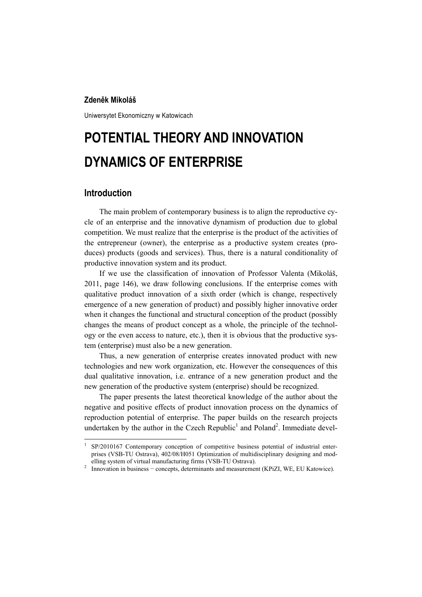#### **Zdeněk Mikoláš**

Uniwersytet Ekonomiczny w Katowicach

# **POTENTIAL THEORY AND INNOVATION DYNAMICS OF ENTERPRISE**

## **Introduction**

 $\overline{a}$ 

The main problem of contemporary business is to align the reproductive cycle of an enterprise and the innovative dynamism of production due to global competition. We must realize that the enterprise is the product of the activities of the entrepreneur (owner), the enterprise as a productive system creates (produces) products (goods and services). Thus, there is a natural conditionality of productive innovation system and its product.

If we use the classification of innovation of Professor Valenta (Mikoláš, 2011, page 146), we draw following conclusions. If the enterprise comes with qualitative product innovation of a sixth order (which is change, respectively emergence of a new generation of product) and possibly higher innovative order when it changes the functional and structural conception of the product (possibly changes the means of product concept as a whole, the principle of the technology or the even access to nature, etc.), then it is obvious that the productive system (enterprise) must also be a new generation.

Thus, a new generation of enterprise creates innovated product with new technologies and new work organization, etc. However the consequences of this dual qualitative innovation, i.e. entrance of a new generation product and the new generation of the productive system (enterprise) should be recognized.

The paper presents the latest theoretical knowledge of the author about the negative and positive effects of product innovation process on the dynamics of reproduction potential of enterprise. The paper builds on the research projects undertaken by the author in the Czech Republic<sup>1</sup> and Poland<sup>2</sup>. Immediate devel-

<sup>1</sup> SP/2010167 Contemporary conception of competitive business potential of industrial enterprises (VSB-TU Ostrava), 402/08/H051 Optimization of multidisciplinary designing and modelling system of virtual manufacturing firms (VSB-TU Ostrava). 2

<sup>&</sup>lt;sup>2</sup> Innovation in business – concepts, determinants and measurement (KPiZI, WE, EU Katowice).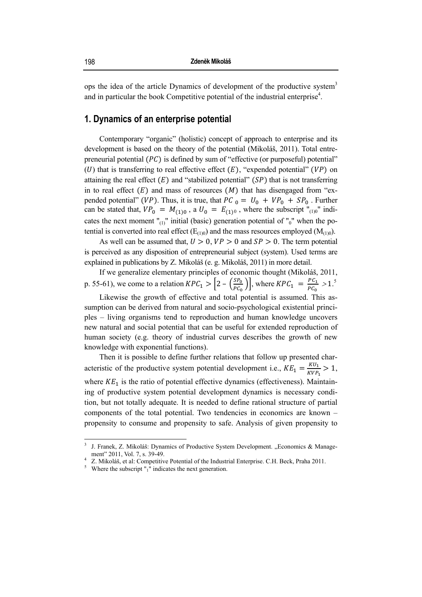ops the idea of the article Dynamics of development of the productive system<sup>3</sup> and in particular the book Competitive potential of the industrial enterprise<sup>4</sup>.

## 1. Dynamics of an enterprise potential

Contemporary "organic" (holistic) concept of approach to enterprise and its development is based on the theory of the potential (Mikoláš, 2011). Total entrepreneurial potential (PC) is defined by sum of "effective (or purposeful) potential"  $(U)$  that is transferring to real effective effect  $(E)$ , "expended potential"  $(VP)$  on attaining the real effect  $(E)$  and "stabilized potential"  $(SP)$  that is not transferring in to real effect  $(E)$  and mass of resources  $(M)$  that has disengaged from "expended potential" (VP). Thus, it is true, that PC  $_0 = U_0 + VP_0 + SP_0$ . Further can be stated that,  $VP_0 = M_{(1)0}$ , a  $U_0 = E_{(1)0}$ , where the subscript "<sub>(1)0</sub>" indicates the next moment " $_{(1)}$ " initial (basic) generation potential of " $_0$ " when the potential is converted into real effect ( $E_{(1)0}$ ) and the mass resources employed ( $M_{(1)0}$ ).

As well can be assumed that,  $U > 0$ ,  $VP > 0$  and  $SP > 0$ . The term potential is perceived as any disposition of entrepreneurial subject (system). Used terms are explained in publications by Z. Mikoláš (e. g. Mikoláš, 2011) in more detail.

If we generalize elementary principles of economic thought (Mikoláš, 2011, p. 55-61), we come to a relation  $KPC_1 > \left[2 - \left(\frac{SP_0}{PC_0}\right)\right]$ , where  $KPC_1 = \frac{PC_1}{PC_0} > 1.5$ 

Likewise the growth of effective and total potential is assumed. This assumption can be derived from natural and socio-psychological existential principles – living organisms tend to reproduction and human knowledge uncovers new natural and social potential that can be useful for extended reproduction of human society (e.g. theory of industrial curves describes the growth of new knowledge with exponential functions).

Then it is possible to define further relations that follow up presented characteristic of the productive system potential development i.e.,  $KE_1 = \frac{KU_1}{KVP_1} > 1$ , where  $KE<sub>1</sub>$  is the ratio of potential effective dynamics (effectiveness). Maintaining of productive system potential development dynamics is necessary condition, but not totally adequate. It is needed to define rational structure of partial components of the total potential. Two tendencies in economics are known propensity to consume and propensity to safe. Analysis of given propensity to

J. Franek, Z. Mikoláš: Dynamics of Productive System Development, "Economics & Management" 2011, Vol. 7, s. 39-49.

Z. Mikoláš, et al: Competitive Potential of the Industrial Enterprise. C.H. Beck, Praha 2011.

<sup>&</sup>lt;sup>5</sup> Where the subscript  $\int_0^{\pi}$  indicates the next generation.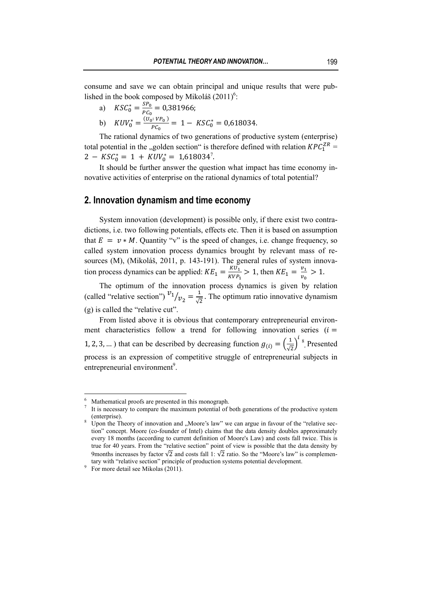consume and save we can obtain principal and unique results that were published in the book composed by Mikoláš  $(2011)^6$ :

- 
- a)  $KSC_0^* = \frac{SP_0}{PC_0} = 0.381966;$ <br>b)  $KUV_0^* = \frac{(U_0:VP_0)}{PC_0} = 1 KSC_0^* = 0.618034.$

The rational dynamics of two generations of productive system (enterprise) total potential in the "golden section" is therefore defined with relation  $KPC^{ZR}_1$  =  $2 - KSC_0^* = 1 + KUV_0^* = 1,618034^7.$ 

It should be further answer the question what impact has time economy innovative activities of enterprise on the rational dynamics of total potential?

## 2. Innovation dynamism and time economy

System innovation (development) is possible only, if there exist two contradictions, i.e. two following potentials, effects etc. Then it is based on assumption that  $E = v * M$ . Quantity "v" is the speed of changes, i.e. change frequency, so called system innovation process dynamics brought by relevant mass of resources (M), (Mikoláš, 2011, p. 143-191). The general rules of system innovation process dynamics can be applied:  $KE_1 = \frac{KU_1}{KVP_1} > 1$ , then  $KE_1 = \frac{v_1}{v_0} > 1$ .

The optimum of the innovation process dynamics is given by relation (called "relative section")  $v_1/v_2 = \frac{1}{\sqrt{2}}$ . The optimum ratio innovative dynamism  $(g)$  is called the "relative cut".

From listed above it is obvious that contemporary entrepreneurial environment characteristics follow a trend for following innovation series  $(i =$ 1, 2, 3, ...) that can be described by decreasing function  $g_{(i)} = \left(\frac{1}{\sqrt{2}}\right)^{i}$ <sup>8</sup>. Presented process is an expression of competitive struggle of entrepreneurial subjects in entrepreneurial environment<sup>9</sup>.

Mathematical proofs are presented in this monograph.

It is necessary to compare the maximum potential of both generations of the productive system (enterprise).

Upon the Theory of innovation and "Moore's law" we can argue in favour of the "relative section" concept. Moore (co-founder of Intel) claims that the data density doubles approximately every 18 months (according to current definition of Moore's Law) and costs fall twice. This is true for 40 years. From the "relative section" point of view is possible that the data density by 9months increases by factor  $\sqrt{2}$  and costs fall 1:  $\sqrt{2}$  ratio. So the "Moore's law" is complementary with "relative section" principle of production systems potential development.

<sup>&</sup>lt;sup>9</sup> For more detail see Mikolas (2011).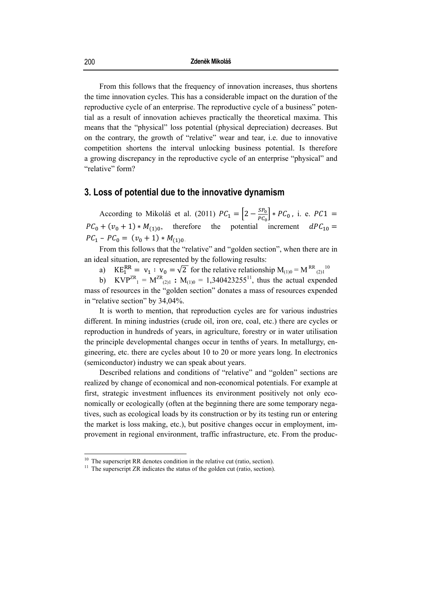From this follows that the frequency of innovation increases, thus shortens the time innovation cycles. This has a considerable impact on the duration of the reproductive cycle of an enterprise. The reproductive cycle of a business" potential as a result of innovation achieves practically the theoretical maxima. This means that the "physical" loss potential (physical depreciation) decreases. But on the contrary, the growth of "relative" wear and tear, i.e. due to innovative competition shortens the interval unlocking business potential. Is therefore a growing discrepancy in the reproductive cycle of an enterprise "physical" and "relative" form?

## 3. Loss of potential due to the innovative dynamism

According to Mikoláš et al. (2011)  $PC_1 = \left[2 - \frac{SP_0}{PC_0}\right] * PC_0$ , i. e.  $PC1 =$  $PC_0 + (v_0 + 1) * M_{(1)0},$ therefore the potential increment  $dPC_{10} =$  $PC_1 - PC_0 = (v_0 + 1) * M_{(1)0}$ 

From this follows that the "relative" and "golden section", when there are in an ideal situation, are represented by the following results:

 $KE_1^{RR} = v_1 : v_0 = \sqrt{2}$  for the relative relationship  $M_{(1)0} = M^{RR}$  (2)<sup>10</sup>  $a)$ 

b)  $KVP^{ZR} = M^{ZR}_{(2)1}$ :  $M_{(1)0} = 1,340423255^{11}$ , thus the actual expended mass of resources in the "golden section" donates a mass of resources expended in "relative section" by 34,04%.

It is worth to mention, that reproduction cycles are for various industries different. In mining industries (crude oil, iron ore, coal, etc.) there are cycles or reproduction in hundreds of years, in agriculture, forestry or in water utilisation the principle developmental changes occur in tenths of years. In metallurgy, engineering, etc. there are cycles about 10 to 20 or more years long. In electronics (semiconductor) industry we can speak about years.

Described relations and conditions of "relative" and "golden" sections are realized by change of economical and non-economical potentials. For example at first, strategic investment influences its environment positively not only economically or ecologically (often at the beginning there are some temporary negatives, such as ecological loads by its construction or by its testing run or entering the market is loss making, etc.), but positive changes occur in employment, improvement in regional environment, traffic infrastructure, etc. From the produc-

 $10$  The superscript RR denotes condition in the relative cut (ratio, section).

<sup>&</sup>lt;sup>11</sup> The superscript ZR indicates the status of the golden cut (ratio, section).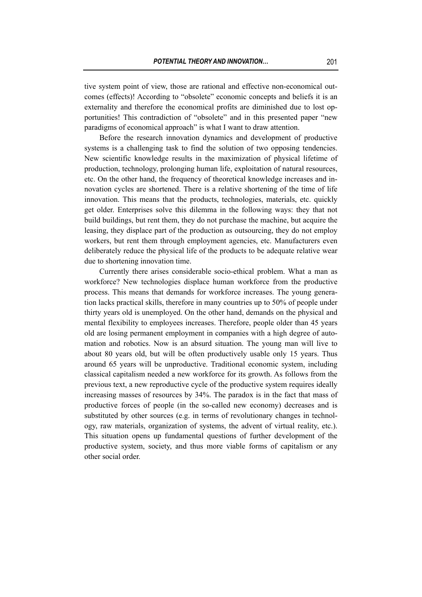tive system point of view, those are rational and effective non-economical outcomes (effects)! According to "obsolete" economic concepts and beliefs it is an externality and therefore the economical profits are diminished due to lost opportunities! This contradiction of "obsolete" and in this presented paper "new paradigms of economical approach" is what I want to draw attention.

Before the research innovation dynamics and development of productive systems is a challenging task to find the solution of two opposing tendencies. New scientific knowledge results in the maximization of physical lifetime of production, technology, prolonging human life, exploitation of natural resources, etc. On the other hand, the frequency of theoretical knowledge increases and innovation cycles are shortened. There is a relative shortening of the time of life innovation. This means that the products, technologies, materials, etc. quickly get older. Enterprises solve this dilemma in the following ways: they that not build buildings, but rent them, they do not purchase the machine, but acquire the leasing, they displace part of the production as outsourcing, they do not employ workers, but rent them through employment agencies, etc. Manufacturers even deliberately reduce the physical life of the products to be adequate relative wear due to shortening innovation time.

Currently there arises considerable socio-ethical problem. What a man as workforce? New technologies displace human workforce from the productive process. This means that demands for workforce increases. The young generation lacks practical skills, therefore in many countries up to 50% of people under thirty years old is unemployed. On the other hand, demands on the physical and mental flexibility to employees increases. Therefore, people older than 45 years old are losing permanent employment in companies with a high degree of automation and robotics. Now is an absurd situation. The young man will live to about 80 years old, but will be often productively usable only 15 years. Thus around 65 years will be unproductive. Traditional economic system, including classical capitalism needed a new workforce for its growth. As follows from the previous text, a new reproductive cycle of the productive system requires ideally increasing masses of resources by 34%. The paradox is in the fact that mass of productive forces of people (in the so-called new economy) decreases and is substituted by other sources (e.g. in terms of revolutionary changes in technology, raw materials, organization of systems, the advent of virtual reality, etc.). This situation opens up fundamental questions of further development of the productive system, society, and thus more viable forms of capitalism or any other social order.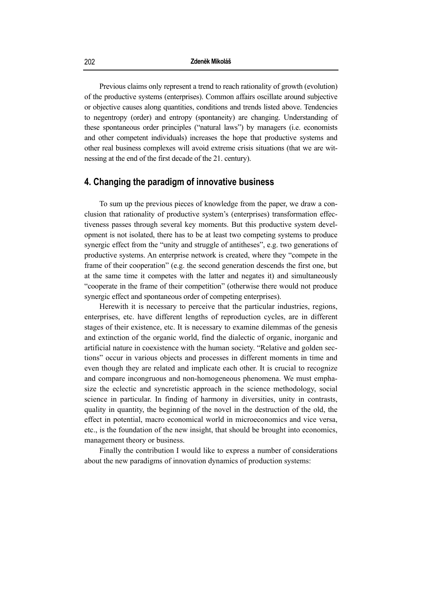Previous claims only represent a trend to reach rationality of growth (evolution) of the productive systems (enterprises). Common affairs oscillate around subjective or objective causes along quantities, conditions and trends listed above. Tendencies to negentropy (order) and entropy (spontaneity) are changing. Understanding of these spontaneous order principles ("natural laws") by managers (i.e. economists and other competent individuals) increases the hope that productive systems and other real business complexes will avoid extreme crisis situations (that we are witnessing at the end of the first decade of the 21. century).

## **4. Changing the paradigm of innovative business**

To sum up the previous pieces of knowledge from the paper, we draw a conclusion that rationality of productive system's (enterprises) transformation effectiveness passes through several key moments. But this productive system development is not isolated, there has to be at least two competing systems to produce synergic effect from the "unity and struggle of antitheses", e.g. two generations of productive systems. An enterprise network is created, where they "compete in the frame of their cooperation" (e.g. the second generation descends the first one, but at the same time it competes with the latter and negates it) and simultaneously "cooperate in the frame of their competition" (otherwise there would not produce synergic effect and spontaneous order of competing enterprises).

Herewith it is necessary to perceive that the particular industries, regions, enterprises, etc. have different lengths of reproduction cycles, are in different stages of their existence, etc. It is necessary to examine dilemmas of the genesis and extinction of the organic world, find the dialectic of organic, inorganic and artificial nature in coexistence with the human society. "Relative and golden sections" occur in various objects and processes in different moments in time and even though they are related and implicate each other. It is crucial to recognize and compare incongruous and non-homogeneous phenomena. We must emphasize the eclectic and syncretistic approach in the science methodology, social science in particular. In finding of harmony in diversities, unity in contrasts, quality in quantity, the beginning of the novel in the destruction of the old, the effect in potential, macro economical world in microeconomics and vice versa, etc., is the foundation of the new insight, that should be brought into economics, management theory or business.

Finally the contribution I would like to express a number of considerations about the new paradigms of innovation dynamics of production systems: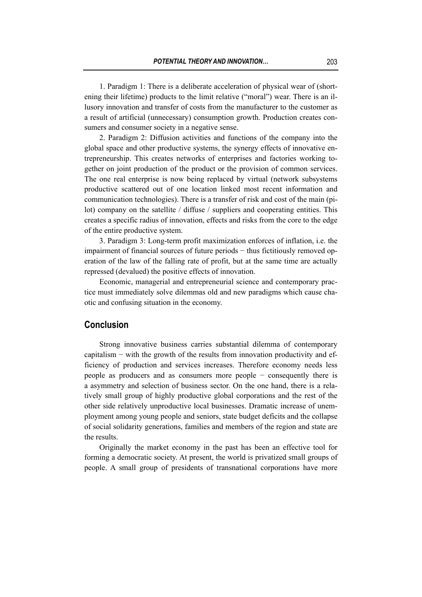1. Paradigm 1: There is a deliberate acceleration of physical wear of (shortening their lifetime) products to the limit relative ("moral") wear. There is an illusory innovation and transfer of costs from the manufacturer to the customer as a result of artificial (unnecessary) consumption growth. Production creates consumers and consumer society in a negative sense.

2. Paradigm 2: Diffusion activities and functions of the company into the global space and other productive systems, the synergy effects of innovative entrepreneurship. This creates networks of enterprises and factories working together on joint production of the product or the provision of common services. The one real enterprise is now being replaced by virtual (network subsystems productive scattered out of one location linked most recent information and communication technologies). There is a transfer of risk and cost of the main (pilot) company on the satellite / diffuse / suppliers and cooperating entities. This creates a specific radius of innovation, effects and risks from the core to the edge of the entire productive system.

3. Paradigm 3: Long-term profit maximization enforces of inflation, i.e. the impairment of financial sources of future periods − thus fictitiously removed operation of the law of the falling rate of profit, but at the same time are actually repressed (devalued) the positive effects of innovation.

Economic, managerial and entrepreneurial science and contemporary practice must immediately solve dilemmas old and new paradigms which cause chaotic and confusing situation in the economy.

## **Conclusion**

Strong innovative business carries substantial dilemma of contemporary capitalism − with the growth of the results from innovation productivity and efficiency of production and services increases. Therefore economy needs less people as producers and as consumers more people − consequently there is a asymmetry and selection of business sector. On the one hand, there is a relatively small group of highly productive global corporations and the rest of the other side relatively unproductive local businesses. Dramatic increase of unemployment among young people and seniors, state budget deficits and the collapse of social solidarity generations, families and members of the region and state are the results.

Originally the market economy in the past has been an effective tool for forming a democratic society. At present, the world is privatized small groups of people. A small group of presidents of transnational corporations have more